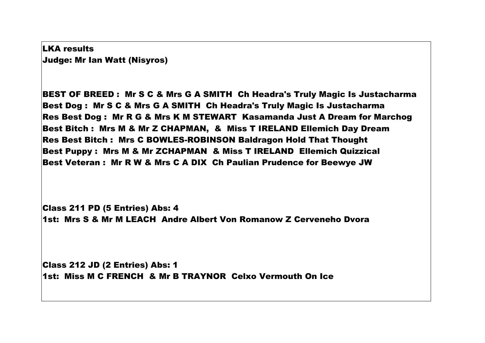LKA results Judge: Mr Ian Watt (Nisyros)

BEST OF BREED : Mr S C & Mrs G A SMITH Ch Headra's Truly Magic Is Justacharma Best Dog : Mr S C & Mrs G A SMITH Ch Headra's Truly Magic Is Justacharma Res Best Dog : Mr R G & Mrs K M STEWART Kasamanda Just A Dream for Marchog Best Bitch : Mrs M & Mr Z CHAPMAN, & Miss T IRELAND Ellemich Day Dream Res Best Bitch : Mrs C BOWLES-ROBINSON Baldragon Hold That Thought Best Puppy : Mrs M & Mr ZCHAPMAN & Miss T IRELAND Ellemich Quizzical Best Veteran : Mr R W & Mrs C A DIX Ch Paulian Prudence for Beewye JW

Class 211 PD (5 Entries) Abs: 4 1st: Mrs S & Mr M LEACH Andre Albert Von Romanow Z Cerveneho Dvora

Class 212 JD (2 Entries) Abs: 1 1st: Miss M C FRENCH & Mr B TRAYNOR Celxo Vermouth On Ice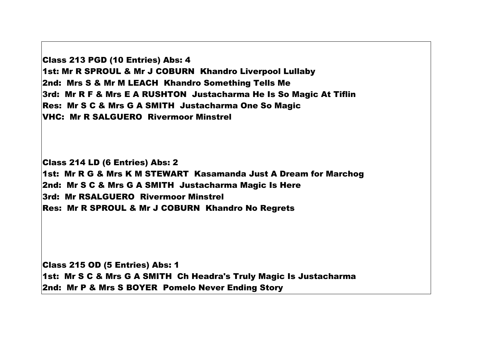Class 213 PGD (10 Entries) Abs: 4 1st: Mr R SPROUL & Mr J COBURN Khandro Liverpool Lullaby 2nd: Mrs S & Mr M LEACH Khandro Something Tells Me 3rd: Mr R F & Mrs E A RUSHTON Justacharma He Is So Magic At Tiflin Res: Mr S C & Mrs G A SMITH Justacharma One So Magic VHC: Mr R SALGUERO Rivermoor Minstrel

Class 214 LD (6 Entries) Abs: 2 1st: Mr R G & Mrs K M STEWART Kasamanda Just A Dream for Marchog 2nd: Mr S C & Mrs G A SMITH Justacharma Magic Is Here 3rd: Mr RSALGUERO Rivermoor Minstrel Res: Mr R SPROUL & Mr J COBURN Khandro No Regrets

Class 215 OD (5 Entries) Abs: 1 1st: Mr S C & Mrs G A SMITH Ch Headra's Truly Magic Is Justacharma 2nd: Mr P & Mrs S BOYER Pomelo Never Ending Story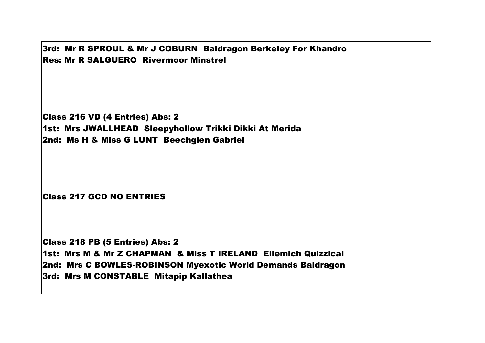3rd: Mr R SPROUL & Mr J COBURN Baldragon Berkeley For Khandro Res: Mr R SALGUERO Rivermoor Minstrel

Class 216 VD (4 Entries) Abs: 2 1st: Mrs JWALLHEAD Sleepyhollow Trikki Dikki At Merida 2nd: Ms H & Miss G LUNT Beechglen Gabriel

Class 217 GCD NO ENTRIES

Class 218 PB (5 Entries) Abs: 2 1st: Mrs M & Mr Z CHAPMAN & Miss T IRELAND Ellemich Quizzical 2nd: Mrs C BOWLES-ROBINSON Myexotic World Demands Baldragon 3rd: Mrs M CONSTABLE Mitapip Kallathea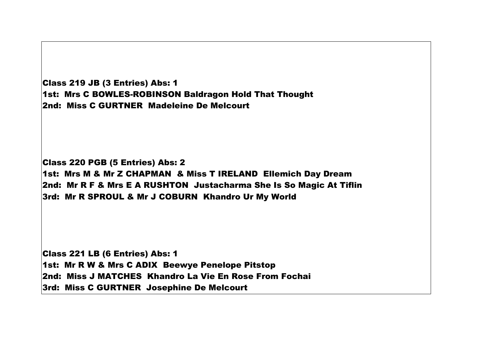| Class 219 JB (3 Entries) Abs: 1                        |
|--------------------------------------------------------|
| 1st: Mrs C BOWLES-ROBINSON Baldragon Hold That Thought |
| 2nd: Miss C GURTNER Madeleine De Melcourt              |

Class 220 PGB (5 Entries) Abs: 2 1st: Mrs M & Mr Z CHAPMAN & Miss T IRELAND Ellemich Day Dream 2nd: Mr R F & Mrs E A RUSHTON Justacharma She Is So Magic At Tiflin 3rd: Mr R SPROUL & Mr J COBURN Khandro Ur My World

Class 221 LB (6 Entries) Abs: 1 1st: Mr R W & Mrs C ADIX Beewye Penelope Pitstop 2nd: Miss J MATCHES Khandro La Vie En Rose From Fochai 3rd: Miss C GURTNER Josephine De Melcourt